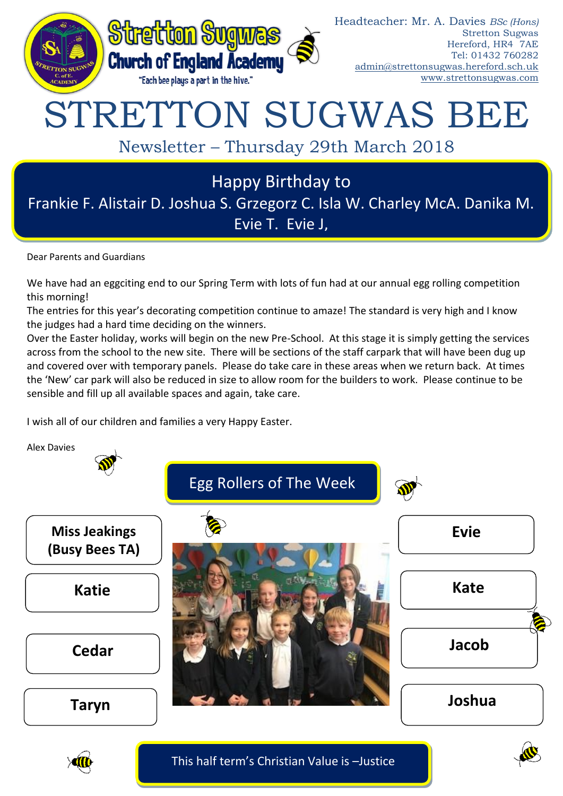

## STRETTON SUGWAS BEE

Newsletter – Thursday 29th March 2018

## Happy Birthday to

Frankie F. Alistair D. Joshua S. Grzegorz C. Isla W. Charley McA. Danika M. Evie T. Evie J,

Dear Parents and Guardians

We have had an eggciting end to our Spring Term with lots of fun had at our annual egg rolling competition this morning!

The entries for this year's decorating competition continue to amaze! The standard is very high and I know the judges had a hard time deciding on the winners.

Over the Easter holiday, works will begin on the new Pre-School. At this stage it is simply getting the services across from the school to the new site. There will be sections of the staff carpark that will have been dug up and covered over with temporary panels. Please do take care in these areas when we return back. At times the 'New' car park will also be reduced in size to allow room for the builders to work. Please continue to be sensible and fill up all available spaces and again, take care.

I wish all of our children and families a very Happy Easter.





This half term's Christian Value is –Justice